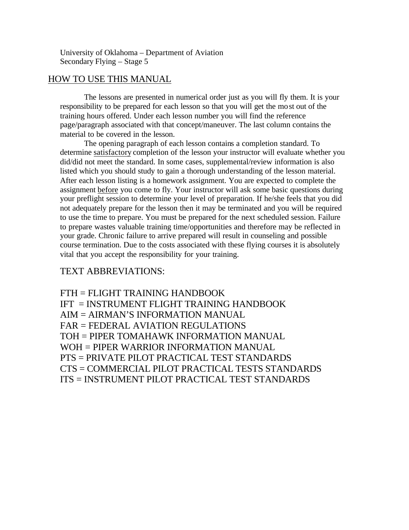University of Oklahoma – Department of Aviation Secondary Flying – Stage 5

# HOW TO USE THIS MANUAL

The lessons are presented in numerical order just as you will fly them. It is your responsibility to be prepared for each lesson so that you will get the most out of the training hours offered. Under each lesson number you will find the reference page/paragraph associated with that concept/maneuver. The last column contains the material to be covered in the lesson.

The opening paragraph of each lesson contains a completion standard. To determine satisfactory completion of the lesson your instructor will evaluate whether you did/did not meet the standard. In some cases, supplemental/review information is also listed which you should study to gain a thorough understanding of the lesson material. After each lesson listing is a homework assignment. You are expected to complete the assignment before you come to fly. Your instructor will ask some basic questions during your preflight session to determine your level of preparation. If he/she feels that you did not adequately prepare for the lesson then it may be terminated and you will be required to use the time to prepare. You must be prepared for the next scheduled session. Failure to prepare wastes valuable training time/opportunities and therefore may be reflected in your grade. Chronic failure to arrive prepared will result in counseling and possible course termination. Due to the costs associated with these flying courses it is absolutely vital that you accept the responsibility for your training.

# TEXT ABBREVIATIONS:

FTH = FLIGHT TRAINING HANDBOOK IFT = INSTRUMENT FLIGHT TRAINING HANDBOOK AIM = AIRMAN'S INFORMATION MANUAL FAR = FEDERAL AVIATION REGULATIONS TOH = PIPER TOMAHAWK INFORMATION MANUAL WOH = PIPER WARRIOR INFORMATION MANUAL PTS = PRIVATE PILOT PRACTICAL TEST STANDARDS CTS = COMMERCIAL PILOT PRACTICAL TESTS STANDARDS ITS = INSTRUMENT PILOT PRACTICAL TEST STANDARDS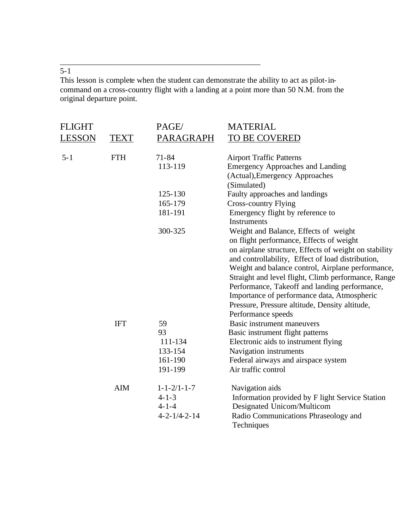# $\frac{1}{5-1}$

This lesson is complete when the student can demonstrate the ability to act as pilot-incommand on a cross-country flight with a landing at a point more than 50 N.M. from the original departure point.

\_\_\_\_\_\_\_\_\_\_\_\_\_\_\_\_\_\_\_\_\_\_\_\_\_\_\_\_\_\_\_\_\_\_\_\_\_\_\_\_\_\_\_\_\_\_\_\_\_\_

| FLIGHT        |             | PAGE/                  | <b>MATERIAL</b>                                       |
|---------------|-------------|------------------------|-------------------------------------------------------|
| <u>LESSON</u> | <b>TEXT</b> | PARAGRAPH              | TO BE COVERED                                         |
| $5 - 1$       | <b>FTH</b>  | $71 - 84$              | <b>Airport Traffic Patterns</b>                       |
|               |             | 113-119                | <b>Emergency Approaches and Landing</b>               |
|               |             |                        | (Actual), Emergency Approaches                        |
|               |             |                        | (Simulated)                                           |
|               |             | 125-130                | Faulty approaches and landings                        |
|               |             | 165-179                | <b>Cross-country Flying</b>                           |
|               |             | 181-191                | Emergency flight by reference to                      |
|               |             |                        | <b>Instruments</b>                                    |
|               |             | 300-325                | Weight and Balance, Effects of weight                 |
|               |             |                        | on flight performance, Effects of weight              |
|               |             |                        | on airplane structure, Effects of weight on stability |
|               |             |                        | and controllability, Effect of load distribution,     |
|               |             |                        | Weight and balance control, Airplane performance,     |
|               |             |                        | Straight and level flight, Climb performance, Range   |
|               |             |                        | Performance, Takeoff and landing performance,         |
|               |             |                        | Importance of performance data, Atmospheric           |
|               |             |                        | Pressure, Pressure altitude, Density altitude,        |
|               |             |                        | Performance speeds                                    |
|               | <b>IFT</b>  | 59                     | Basic instrument maneuvers                            |
|               |             | 93                     | Basic instrument flight patterns                      |
|               |             | 111-134                | Electronic aids to instrument flying                  |
|               |             | 133-154                | Navigation instruments                                |
|               |             | 161-190                | Federal airways and airspace system                   |
|               |             | 191-199                | Air traffic control                                   |
|               | <b>AIM</b>  | $1 - 1 - 2/1 - 1 - 7$  | Navigation aids                                       |
|               |             | $4 - 1 - 3$            | Information provided by F light Service Station       |
|               |             | $4 - 1 - 4$            | Designated Unicom/Multicom                            |
|               |             | $4 - 2 - 1/4 - 2 - 14$ | Radio Communications Phraseology and<br>Techniques    |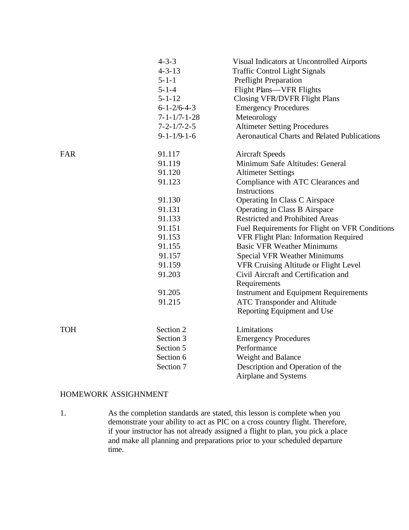|            | $4 - 3 - 3$<br>$4 - 3 - 13$<br>$5 - 1 - 1$<br>$5 - 1 - 4$<br>$5 - 1 - 12$<br>$6 - 1 - \frac{2}{6} - 4 - 3$<br>$7 - 1 - 1/7 - 1 - 28$<br>$7 - 2 - 1/7 - 2 - 5$<br>$9 - 1 - 1/9 - 1 - 6$ | Visual Indicators at Uncontrolled Airports<br><b>Traffic Control Light Signals</b><br><b>Preflight Preparation</b><br>Flight Plans—VFR Flights<br><b>Closing VFR/DVFR Flight Plans</b><br><b>Emergency Procedures</b><br>Meteorology<br><b>Altimeter Setting Procedures</b><br><b>Aeronautical Charts and Related Publications</b>                                                                                                                               |
|------------|----------------------------------------------------------------------------------------------------------------------------------------------------------------------------------------|------------------------------------------------------------------------------------------------------------------------------------------------------------------------------------------------------------------------------------------------------------------------------------------------------------------------------------------------------------------------------------------------------------------------------------------------------------------|
| FAR        | 91.117<br>91.119<br>91.120<br>91.123                                                                                                                                                   | <b>Aircraft Speeds</b><br>Minimum Safe Altitudes: General<br><b>Altimeter Settings</b><br>Compliance with ATC Clearances and<br>Instructions                                                                                                                                                                                                                                                                                                                     |
|            | 91.130<br>91.131<br>91.133<br>91.151<br>91.153<br>91.155<br>91.157<br>91.159<br>91.203<br>91.205<br>91.215                                                                             | Operating In Class C Airspace<br>Operating in Class B Airspace<br><b>Restricted and Prohibited Areas</b><br>Fuel Requirements for Flight on VFR Conditions<br>VFR Flight Plan: Information Required<br><b>Basic VFR Weather Minimums</b><br><b>Special VFR Weather Minimums</b><br>VFR Cruising Altitude or Flight Level<br>Civil Aircraft and Certification and<br>Requirements<br><b>Instrument and Equipment Requirements</b><br>ATC Transponder and Altitude |
| <b>TOH</b> | Section 2<br>Section 3<br>Section 5<br>Section 6<br>Section 7                                                                                                                          | Reporting Equipment and Use<br>Limitations<br><b>Emergency Procedures</b><br>Performance<br>Weight and Balance<br>Description and Operation of the<br>Airplane and Systems                                                                                                                                                                                                                                                                                       |

# HOMEWORK ASSIGHNMENT

1. As the completion standards are stated, this lesson is complete when you demonstrate your ability to act as PIC on a cross country flight. Therefore, if your instructor has not already assigned a flight to plan, you pick a place and make all planning and preparations prior to your scheduled departure time.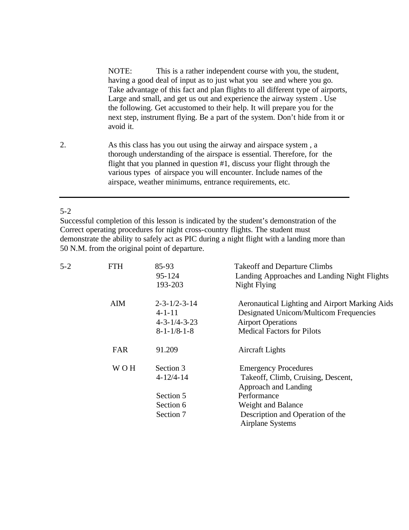NOTE: This is a rather independent course with you, the student, having a good deal of input as to just what you see and where you go. Take advantage of this fact and plan flights to all different type of airports, Large and small, and get us out and experience the airway system . Use the following. Get accustomed to their help. It will prepare you for the next step, instrument flying. Be a part of the system. Don't hide from it or avoid it.

2. As this class has you out using the airway and airspace system , a thorough understanding of the airspace is essential. Therefore, for the flight that you planned in question #1, discuss your flight through the various types of airspace you will encounter. Include names of the airspace, weather minimums, entrance requirements, etc.

# 5-2

Successful completion of this lesson is indicated by the student's demonstration of the Correct operating procedures for night cross-country flights. The student must demonstrate the ability to safely act as PIC during a night flight with a landing more than 50 N.M. from the original point of departure.

| $5 - 2$ | <b>FTH</b> | 85-93<br>$95 - 124$<br>193-203         | <b>Takeoff and Departure Climbs</b><br>Landing Approaches and Landing Night Flights<br>Night Flying |
|---------|------------|----------------------------------------|-----------------------------------------------------------------------------------------------------|
|         | AIM        | $2 - 3 - 1/2 - 3 - 14$                 | Aeronautical Lighting and Airport Marking Aids                                                      |
|         |            | $4 - 1 - 11$<br>$4 - 3 - 1/4 - 3 - 23$ | Designated Unicom/Multicom Frequencies<br><b>Airport Operations</b>                                 |
|         |            | $8 - 1 - 1/8 - 1 - 8$                  | <b>Medical Factors for Pilots</b>                                                                   |
|         | <b>FAR</b> | 91.209                                 | <b>Aircraft Lights</b>                                                                              |
|         | <b>WOH</b> | Section 3                              | <b>Emergency Procedures</b>                                                                         |
|         |            | $4 - 12/4 - 14$                        | Takeoff, Climb, Cruising, Descent,                                                                  |
|         |            |                                        | Approach and Landing                                                                                |
|         |            | Section 5                              | Performance                                                                                         |
|         |            | Section 6                              | Weight and Balance                                                                                  |
|         |            | Section 7                              | Description and Operation of the<br>Airplane Systems                                                |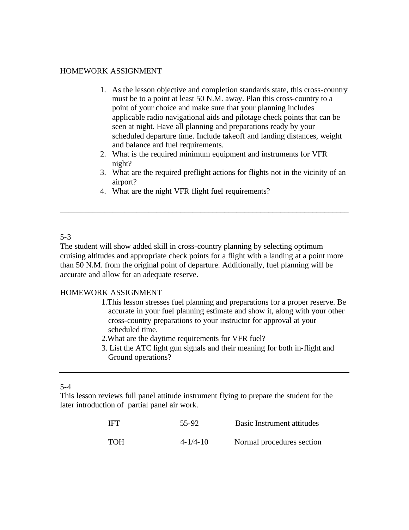#### HOMEWORK ASSIGNMENT

- 1. As the lesson objective and completion standards state, this cross-country must be to a point at least 50 N.M. away. Plan this cross-country to a point of your choice and make sure that your planning includes applicable radio navigational aids and pilotage check points that can be seen at night. Have all planning and preparations ready by your scheduled departure time. Include takeoff and landing distances, weight and balance and fuel requirements.
- 2. What is the required minimum equipment and instruments for VFR night?
- 3. What are the required preflight actions for flights not in the vicinity of an airport?
- 4. What are the night VFR flight fuel requirements?

#### 5-3

The student will show added skill in cross-country planning by selecting optimum cruising altitudes and appropriate check points for a flight with a landing at a point more than 50 N.M. from the original point of departure. Additionally, fuel planning will be accurate and allow for an adequate reserve.

\_\_\_\_\_\_\_\_\_\_\_\_\_\_\_\_\_\_\_\_\_\_\_\_\_\_\_\_\_\_\_\_\_\_\_\_\_\_\_\_\_\_\_\_\_\_\_\_\_\_\_\_\_\_\_\_\_\_\_\_\_\_\_\_\_\_\_\_\_\_\_\_

# HOMEWORK ASSIGNMENT

- 1.This lesson stresses fuel planning and preparations for a proper reserve. Be accurate in your fuel planning estimate and show it, along with your other cross-country preparations to your instructor for approval at your scheduled time.
- 2.What are the daytime requirements for VFR fuel?
- 3. List the ATC light gun signals and their meaning for both in-flight and Ground operations?

5-4

This lesson reviews full panel attitude instrument flying to prepare the student for the later introduction of partial panel air work.

| IFT | 55-92          | Basic Instrument attitudes |
|-----|----------------|----------------------------|
| TOH | $4 - 1/4 - 10$ | Normal procedures section  |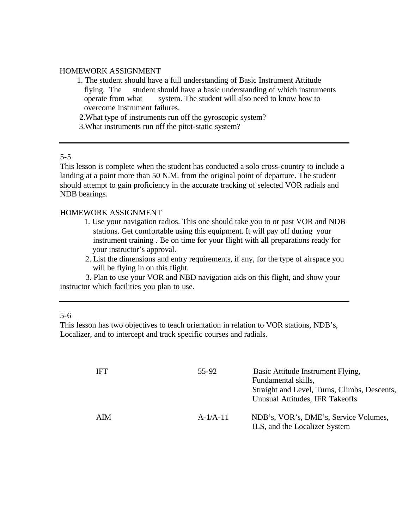#### HOMEWORK ASSIGNMENT

- 1. The student should have a full understanding of Basic Instrument Attitude flying. The student should have a basic understanding of which instruments operate from what system. The student will also need to know how to overcome instrument failures.
- 2.What type of instruments run off the gyroscopic system?
- 3.What instruments run off the pitot-static system?

# 5-5

This lesson is complete when the student has conducted a solo cross-country to include a landing at a point more than 50 N.M. from the original point of departure. The student should attempt to gain proficiency in the accurate tracking of selected VOR radials and NDB bearings.

# HOMEWORK ASSIGNMENT

- 1. Use your navigation radios. This one should take you to or past VOR and NDB stations. Get comfortable using this equipment. It will pay off during your instrument training . Be on time for your flight with all preparations ready for your instructor's approval.
- 2. List the dimensions and entry requirements, if any, for the type of airspace you will be flying in on this flight.

 3. Plan to use your VOR and NBD navigation aids on this flight, and show your instructor which facilities you plan to use.

#### 5-6

This lesson has two objectives to teach orientation in relation to VOR stations, NDB's, Localizer, and to intercept and track specific courses and radials.

| <b>IFT</b> | 55-92      | Basic Attitude Instrument Flying,<br>Fundamental skills,<br>Straight and Level, Turns, Climbs, Descents,<br>Unusual Attitudes, IFR Takeoffs |
|------------|------------|---------------------------------------------------------------------------------------------------------------------------------------------|
| AIM        | $A-1/A-11$ | NDB's, VOR's, DME's, Service Volumes,<br>ILS, and the Localizer System                                                                      |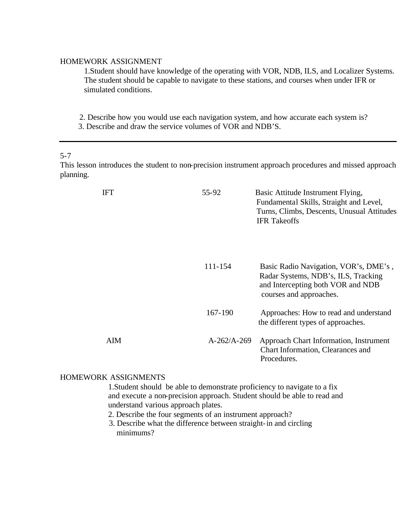#### HOMEWORK ASSIGNMENT

1.Student should have knowledge of the operating with VOR, NDB, ILS, and Localizer Systems. The student should be capable to navigate to these stations, and courses when under IFR or simulated conditions.

2. Describe how you would use each navigation system, and how accurate each system is?

3. Describe and draw the service volumes of VOR and NDB'S.

#### 5-7

This lesson introduces the student to non-precision instrument approach procedures and missed approach planning.

| <b>IFT</b> | 55-92         | Basic Attitude Instrument Flying,<br>Fundamental Skills, Straight and Level,<br>Turns, Climbs, Descents, Unusual Attitudes<br><b>IFR</b> Takeoffs |
|------------|---------------|---------------------------------------------------------------------------------------------------------------------------------------------------|
|            | 111-154       | Basic Radio Navigation, VOR's, DME's,<br>Radar Systems, NDB's, ILS, Tracking<br>and Intercepting both VOR and NDB<br>courses and approaches.      |
|            | 167-190       | Approaches: How to read and understand<br>the different types of approaches.                                                                      |
| AIM        | $A-262/A-269$ | Approach Chart Information, Instrument<br>Chart Information, Clearances and<br>Procedures.                                                        |

# HOMEWORK ASSIGNMENTS

1.Student should be able to demonstrate proficiency to navigate to a fix and execute a non-precision approach. Student should be able to read and understand various approach plates.

- 2. Describe the four segments of an instrument approach?
- 3. Describe what the difference between straight-in and circling minimums?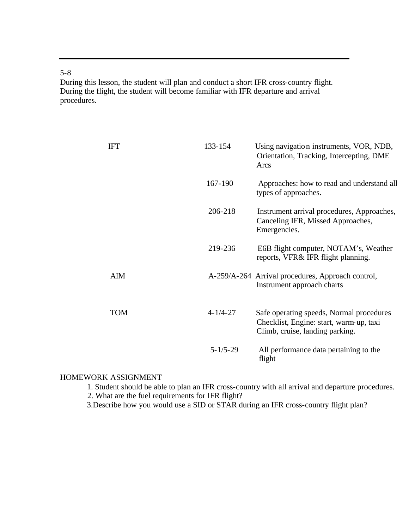5-8

During this lesson, the student will plan and conduct a short IFR cross-country flight. During the flight, the student will become familiar with IFR departure and arrival procedures.

| <b>IFT</b> | 133-154        | Using navigation instruments, VOR, NDB,<br>Orientation, Tracking, Intercepting, DME<br>Arcs                            |
|------------|----------------|------------------------------------------------------------------------------------------------------------------------|
|            | 167-190        | Approaches: how to read and understand all<br>types of approaches.                                                     |
|            | 206-218        | Instrument arrival procedures, Approaches,<br>Canceling IFR, Missed Approaches,<br>Emergencies.                        |
|            | 219-236        | E6B flight computer, NOTAM's, Weather<br>reports, VFR& IFR flight planning.                                            |
| <b>AIM</b> |                | A-259/A-264 Arrival procedures, Approach control,<br>Instrument approach charts                                        |
| <b>TOM</b> | $4 - 1/4 - 27$ | Safe operating speeds, Normal procedures<br>Checklist, Engine: start, warm-up, taxi<br>Climb, cruise, landing parking. |
|            | $5 - 1/5 - 29$ | All performance data pertaining to the<br>flight                                                                       |

# HOMEWORK ASSIGNMENT

1. Student should be able to plan an IFR cross-country with all arrival and departure procedures.

2. What are the fuel requirements for IFR flight?

3.Describe how you would use a SID or STAR during an IFR cross-country flight plan?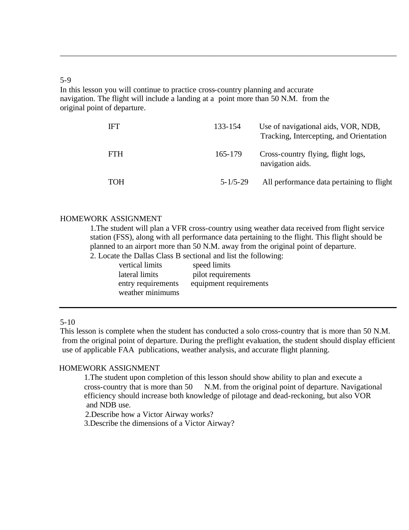# 5-9

In this lesson you will continue to practice cross-country planning and accurate navigation. The flight will include a landing at a point more than 50 N.M. from the original point of departure.

| <b>IFT</b> | 133-154        | Use of navigational aids, VOR, NDB,<br>Tracking, Intercepting, and Orientation |
|------------|----------------|--------------------------------------------------------------------------------|
| <b>FTH</b> | 165-179        | Cross-country flying, flight logs,<br>navigation aids.                         |
| TOH        | $5 - 1/5 - 29$ | All performance data pertaining to flight                                      |

\_\_\_\_\_\_\_\_\_\_\_\_\_\_\_\_\_\_\_\_\_\_\_\_\_\_\_\_\_\_\_\_\_\_\_\_\_\_\_\_\_\_\_\_\_\_\_\_\_\_\_\_\_\_\_\_\_\_\_\_\_\_\_\_\_\_\_\_\_\_\_\_\_\_\_\_\_\_\_\_\_\_\_\_\_\_\_

# HOMEWORK ASSIGNMENT

1.The student will plan a VFR cross-country using weather data received from flight service station (FSS), along with all performance data pertaining to the flight. This flight should be planned to an airport more than 50 N.M. away from the original point of departure.

2. Locate the Dallas Class B sectional and list the following:

| vertical limits    | speed limits           |
|--------------------|------------------------|
| lateral limits     | pilot requirements     |
| entry requirements | equipment requirements |
| weather minimums   |                        |

# 5-10

This lesson is complete when the student has conducted a solo cross-country that is more than 50 N.M. from the original point of departure. During the preflight evaluation, the student should display efficient use of applicable FAA publications, weather analysis, and accurate flight planning.

# HOMEWORK ASSIGNMENT

1.The student upon completion of this lesson should show ability to plan and execute a cross-country that is more than 50 N.M. from the original point of departure. Navigational efficiency should increase both knowledge of pilotage and dead-reckoning, but also VOR and NDB use.

2.Describe how a Victor Airway works?

3.Describe the dimensions of a Victor Airway?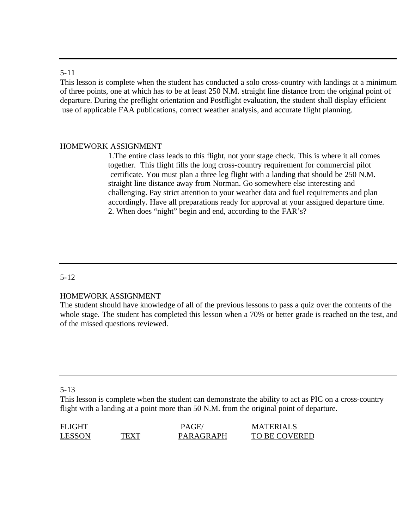#### 5-11

This lesson is complete when the student has conducted a solo cross-country with landings at a minimum of three points, one at which has to be at least 250 N.M. straight line distance from the original point of departure. During the preflight orientation and Postflight evaluation, the student shall display efficient use of applicable FAA publications, correct weather analysis, and accurate flight planning.

# HOMEWORK ASSIGNMENT

1.The entire class leads to this flight, not your stage check. This is where it all comes together. This flight fills the long cross-country requirement for commercial pilot certificate. You must plan a three leg flight with a landing that should be 250 N.M. straight line distance away from Norman. Go somewhere else interesting and challenging. Pay strict attention to your weather data and fuel requirements and plan accordingly. Have all preparations ready for approval at your assigned departure time. 2. When does "night" begin and end, according to the FAR's?

# 5-12

# HOMEWORK ASSIGNMENT

The student should have knowledge of all of the previous lessons to pass a quiz over the contents of the whole stage. The student has completed this lesson when a 70% or better grade is reached on the test, and of the missed questions reviewed.

# 5-13

This lesson is complete when the student can demonstrate the ability to act as PIC on a cross-country flight with a landing at a point more than 50 N.M. from the original point of departure.

| <b>FLIGHT</b> |      | PAGE.            | <b>MATERIALS</b> |
|---------------|------|------------------|------------------|
| <b>LESSON</b> | TEXT | <b>PARAGRAPH</b> | TO BE COVERED    |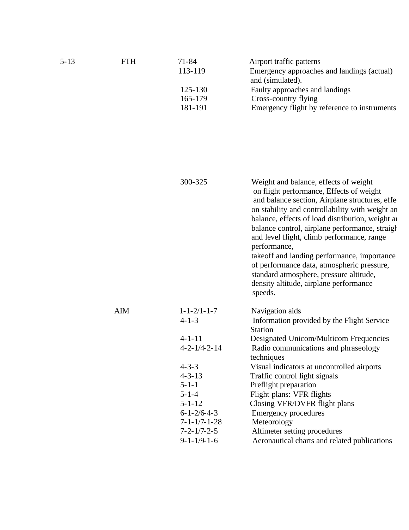| $5 - 13$ | <b>FTH</b> | $71 - 84$<br>113-119<br>125-130<br>165-179<br>181-191 | Airport traffic patterns<br>Emergency approaches and landings (actual)<br>and (simulated).<br>Faulty approaches and landings<br>Cross-country flying<br>Emergency flight by reference to instruments                                                                                                                                                                                                                                                                                                                                                     |
|----------|------------|-------------------------------------------------------|----------------------------------------------------------------------------------------------------------------------------------------------------------------------------------------------------------------------------------------------------------------------------------------------------------------------------------------------------------------------------------------------------------------------------------------------------------------------------------------------------------------------------------------------------------|
|          |            |                                                       |                                                                                                                                                                                                                                                                                                                                                                                                                                                                                                                                                          |
|          |            | 300-325                                               | Weight and balance, effects of weight<br>on flight performance, Effects of weight<br>and balance section, Airplane structures, effe<br>on stability and controllability with weight an<br>balance, effects of load distribution, weight an<br>balance control, airplane performance, straight<br>and level flight, climb performance, range<br>performance,<br>takeoff and landing performance, importance<br>of performance data, atmospheric pressure,<br>standard atmosphere, pressure altitude,<br>density altitude, airplane performance<br>speeds. |
|          | <b>AIM</b> | $1 - 1 - 2/1 - 1 - 7$<br>$4 - 1 - 3$                  | Navigation aids<br>Information provided by the Flight Service<br><b>Station</b>                                                                                                                                                                                                                                                                                                                                                                                                                                                                          |
|          |            | $4 - 1 - 11$                                          | Designated Unicom/Multicom Frequencies                                                                                                                                                                                                                                                                                                                                                                                                                                                                                                                   |
|          |            | $4 - 2 - 1/4 - 2 - 14$                                | Radio communications and phraseology<br>techniques                                                                                                                                                                                                                                                                                                                                                                                                                                                                                                       |
|          |            | $4 - 3 - 3$                                           | Visual indicators at uncontrolled airports                                                                                                                                                                                                                                                                                                                                                                                                                                                                                                               |
|          |            | $4 - 3 - 13$                                          | Traffic control light signals                                                                                                                                                                                                                                                                                                                                                                                                                                                                                                                            |
|          |            | $5 - 1 - 1$                                           | Preflight preparation                                                                                                                                                                                                                                                                                                                                                                                                                                                                                                                                    |
|          |            | $5 - 1 - 4$                                           | Flight plans: VFR flights                                                                                                                                                                                                                                                                                                                                                                                                                                                                                                                                |
|          |            | $5 - 1 - 12$                                          | Closing VFR/DVFR flight plans                                                                                                                                                                                                                                                                                                                                                                                                                                                                                                                            |
|          |            | $6 - 1 - \frac{2}{6} - 4 - 3$                         | <b>Emergency procedures</b>                                                                                                                                                                                                                                                                                                                                                                                                                                                                                                                              |
|          |            | $7 - 1 - 1/7 - 1 - 28$                                | Meteorology                                                                                                                                                                                                                                                                                                                                                                                                                                                                                                                                              |
|          |            | $7 - 2 - 1/7 - 2 - 5$                                 | Altimeter setting procedures                                                                                                                                                                                                                                                                                                                                                                                                                                                                                                                             |

9-1-1/9-1-6 Aeronautical charts and related publications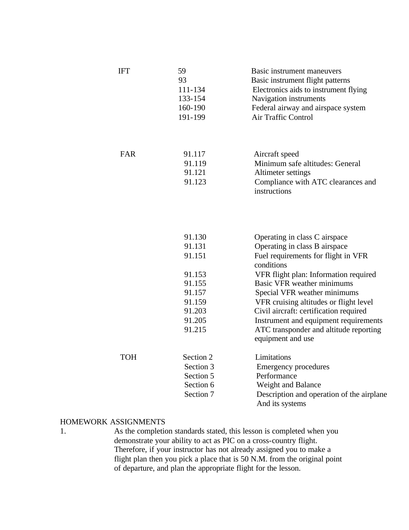| <b>IFT</b> | 59<br>93<br>111-134<br>133-154<br>160-190<br>191-199                         | Basic instrument maneuvers<br>Basic instrument flight patterns<br>Electronics aids to instrument flying<br>Navigation instruments<br>Federal airway and airspace system<br>Air Traffic Control                                                                                                                        |
|------------|------------------------------------------------------------------------------|-----------------------------------------------------------------------------------------------------------------------------------------------------------------------------------------------------------------------------------------------------------------------------------------------------------------------|
| <b>FAR</b> | 91.117<br>91.119                                                             | Aircraft speed<br>Minimum safe altitudes: General                                                                                                                                                                                                                                                                     |
|            | 91.121<br>91.123                                                             | Altimeter settings<br>Compliance with ATC clearances and<br>instructions                                                                                                                                                                                                                                              |
|            | 91.130<br>91.131<br>91.151<br>91.153<br>91.155<br>91.157<br>91.159<br>91.203 | Operating in class C airspace<br>Operating in class B airspace<br>Fuel requirements for flight in VFR<br>conditions<br>VFR flight plan: Information required<br><b>Basic VFR</b> weather minimums<br>Special VFR weather minimums<br>VFR cruising altitudes or flight level<br>Civil aircraft: certification required |
|            | 91.205<br>91.215                                                             | Instrument and equipment requirements<br>ATC transponder and altitude reporting<br>equipment and use                                                                                                                                                                                                                  |
| <b>TOH</b> | Section 2<br>Section 3<br>Section 5<br>Section 6<br>Section 7                | Limitations<br><b>Emergency procedures</b><br>Performance<br>Weight and Balance<br>Description and operation of the airplane<br>And its systems                                                                                                                                                                       |

#### HOMEWORK ASSIGNMENTS

1. As the completion standards stated, this lesson is completed when you demonstrate your ability to act as PIC on a cross-country flight. Therefore, if your instructor has not already assigned you to make a flight plan then you pick a place that is 50 N.M. from the original point of departure, and plan the appropriate flight for the lesson.